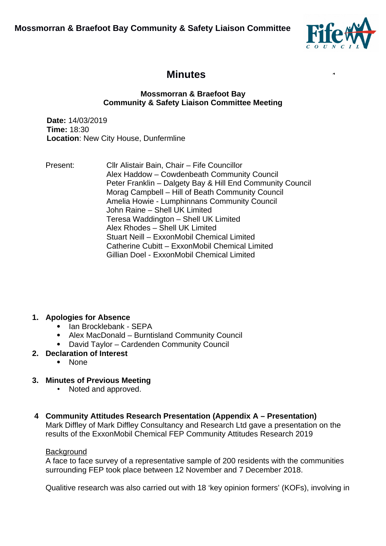**Mossmorran & Braefoot Bay Community & Safety Liaison Committee** 



 $\ddot{\phantom{1}}$ 

# **Minutes**

#### **Mossmorran & Braefoot Bay Community & Safety Liaison Committee Meeting**

**Date:** 14/03/2019 **Time:** 18:30 **Location**: New City House, Dunfermline

Present: Cllr Alistair Bain, Chair – Fife Councillor Alex Haddow – Cowdenbeath Community Council Peter Franklin – Dalgety Bay & Hill End Community Council Morag Campbell – Hill of Beath Community Council Amelia Howie - Lumphinnans Community Council John Raine – Shell UK Limited Teresa Waddington – Shell UK Limited Alex Rhodes – Shell UK Limited Stuart Neill – ExxonMobil Chemical Limited Catherine Cubitt – ExxonMobil Chemical Limited Gillian Doel - ExxonMobil Chemical Limited

# **1. Apologies for Absence**

- Ian Brocklebank SEPA
- Alex MacDonald Burntisland Community Council
- David Taylor Cardenden Community Council

### **2. Declaration of Interest**

• None

# **3. Minutes of Previous Meeting**

- Noted and approved.
- **4 Community Attitudes Research Presentation (Appendix A Presentation)** Mark Diffley of Mark Diffley Consultancy and Research Ltd gave a presentation on the results of the ExxonMobil Chemical FEP Community Attitudes Research 2019

### Background

A face to face survey of a representative sample of 200 residents with the communities surrounding FEP took place between 12 November and 7 December 2018.

Qualitive research was also carried out with 18 'key opinion formers' (KOFs), involving in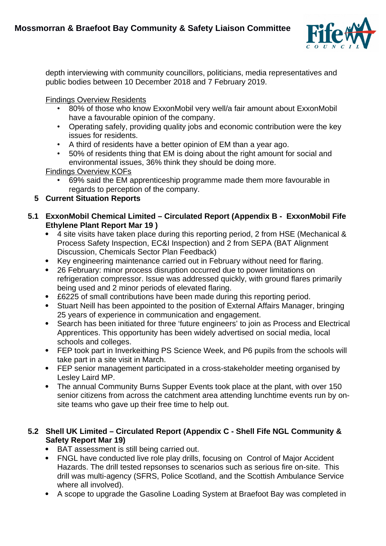

depth interviewing with community councillors, politicians, media representatives and public bodies between 10 December 2018 and 7 February 2019.

Findings Overview Residents

- 80% of those who know ExxonMobil very well/a fair amount about ExxonMobil have a favourable opinion of the company.
- Operating safely, providing quality jobs and economic contribution were the key issues for residents.
- A third of residents have a better opinion of EM than a year ago.
- 50% of residents thing that EM is doing about the right amount for social and environmental issues, 36% think they should be doing more.

Findings Overview KOFs

• 69% said the EM apprenticeship programme made them more favourable in regards to perception of the company.

# **5 Current Situation Reports**

- **5.1 ExxonMobil Chemical Limited Circulated Report (Appendix B ExxonMobil Fife Ethylene Plant Report Mar 19 )**
	- 4 site visits have taken place during this reporting period, 2 from HSE (Mechanical & Process Safety Inspection, EC&I Inspection) and 2 from SEPA (BAT Alignment Discussion, Chemicals Sector Plan Feedback)
	- Key engineering maintenance carried out in February without need for flaring.
	- 26 February: minor process disruption occurred due to power limitations on refrigeration compressor. Issue was addressed quickly, with ground flares primarily being used and 2 minor periods of elevated flaring.
	- £6225 of small contributions have been made during this reporting period.
	- Stuart Neill has been appointed to the position of External Affairs Manager, bringing 25 years of experience in communication and engagement.
	- Search has been initiated for three 'future engineers' to join as Process and Electrical Apprentices. This opportunity has been widely advertised on social media, local schools and colleges.
	- FEP took part in Inverkeithing PS Science Week, and P6 pupils from the schools will take part in a site visit in March.
	- FEP senior management participated in a cross-stakeholder meeting organised by Lesley Laird MP.
	- The annual Community Burns Supper Events took place at the plant, with over 150 senior citizens from across the catchment area attending lunchtime events run by onsite teams who gave up their free time to help out.

# **5.2 Shell UK Limited – Circulated Report (Appendix C - Shell Fife NGL Community & Safety Report Mar 19)**

- BAT assessment is still being carried out.
- FNGL have conducted live role play drills, focusing on Control of Major Accident Hazards. The drill tested repsonses to scenarios such as serious fire on-site. This drill was multi-agency (SFRS, Police Scotland, and the Scottish Ambulance Service where all involved).
- A scope to upgrade the Gasoline Loading System at Braefoot Bay was completed in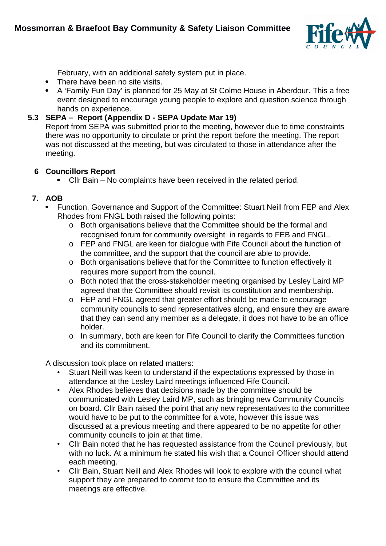

February, with an additional safety system put in place.

- There have been no site visits.
- A 'Family Fun Day' is planned for 25 May at St Colme House in Aberdour. This a free event designed to encourage young people to explore and question science through hands on experience.

## **5.3 SEPA – Report (Appendix D - SEPA Update Mar 19)**

Report from SEPA was submitted prior to the meeting, however due to time constraints there was no opportunity to circulate or print the report before the meeting. The report was not discussed at the meeting, but was circulated to those in attendance after the meeting.

### **6 Councillors Report**

Cllr Bain – No complaints have been received in the related period.

### **7. AOB**

- Function, Governance and Support of the Committee: Stuart Neill from FEP and Alex Rhodes from FNGL both raised the following points:
	- o Both organisations believe that the Committee should be the formal and recognised forum for community oversight in regards to FEB and FNGL.
	- o FEP and FNGL are keen for dialogue with Fife Council about the function of the committee, and the support that the council are able to provide.
	- o Both organisations believe that for the Committee to function effectively it requires more support from the council.
	- o Both noted that the cross-stakeholder meeting organised by Lesley Laird MP agreed that the Committee should revisit its constitution and membership.
	- o FEP and FNGL agreed that greater effort should be made to encourage community councils to send representatives along, and ensure they are aware that they can send any member as a delegate, it does not have to be an office holder.
	- o In summary, both are keen for Fife Council to clarify the Committees function and its commitment.

A discussion took place on related matters:

- Stuart Neill was keen to understand if the expectations expressed by those in attendance at the Lesley Laird meetings influenced Fife Council.
- Alex Rhodes believes that decisions made by the committee should be communicated with Lesley Laird MP, such as bringing new Community Councils on board. Cllr Bain raised the point that any new representatives to the committee would have to be put to the committee for a vote, however this issue was discussed at a previous meeting and there appeared to be no appetite for other community councils to join at that time.
- Cllr Bain noted that he has requested assistance from the Council previously, but with no luck. At a minimum he stated his wish that a Council Officer should attend each meeting.
- Cllr Bain, Stuart Neill and Alex Rhodes will look to explore with the council what support they are prepared to commit too to ensure the Committee and its meetings are effective.